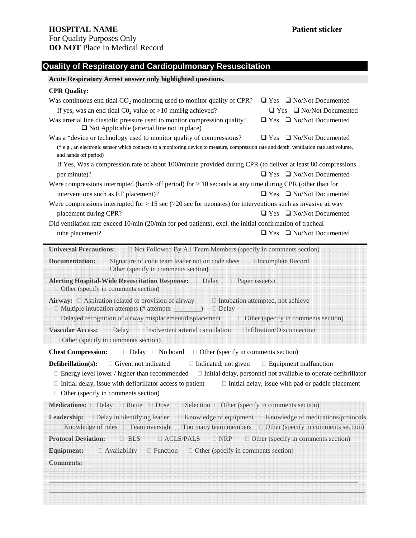### **Quality of Respiratory and Cardiopulmonary Resuscitation**

# **Acute Respiratory Arrest answer only highlighted questions. CPR Quality:**  Was continuous end tidal CO<sub>2</sub> monitoring used to monitor quality of CPR?  $\Box$  Yes  $\Box$  No/Not Documented If yes, was an end tidal C0<sub>2</sub> value of >10 mmHg achieved?  $\Box$  Yes  $\Box$  No/Not Documented Was arterial line diastolic pressure used to monitor compression quality?  $\Box$  Yes  $\Box$  No/Not Documented  $\Box$  Not Applicable (arterial line not in place) Was a \*device or technology used to monitor quality of compressions?  $\Box$  Yes  $\Box$  No/Not Documented (\* e.g., an electronic sensor which connects to a monitoring device to measure, compression rate and depth, ventilation rate and volume, and hands off period) If Yes, Was a compression rate of about 100/minute provided during CPR (to deliver at least 80 compressions per minute)? Yes No/Not Documented Were compressions interrupted (hands off period) for  $> 10$  seconds at any time during CPR (other than for interventions such as ET placement)?  $\Box$  Yes  $\Box$  No/Not Documented Were compressions interrupted for  $> 15 \text{ sec } (>20 \text{ sec }$  for neonates) for interventions such as invasive airway placement during CPR?  $\Box$  Yes  $\Box$  No/Not Documented Did ventilation rate exceed 10/min (20/min for ped patients), excl. the initial confirmation of tracheal tube placement? **Relation** Events and Issues **C** Yes **C** No/Not Documented **Universal Precautions:**  Not Followed By All Team Members (specify in comments section)

**Documentation:** Signature of code team leader not on code sheet Incomplete Record Other (specify in comments section**) Alerting Hospital-Wide Resuscitation Response:**  Delay Pager issue(s) Other (specify in comments section) **Airway:**  Aspiration related to provision of airway Intubation attempted, not achieve Multiple intubation attempts (# attempts: \_\_\_\_\_\_\_\_) Delay Delayed recognition of airway misplacement/displacement **Other** (specify in comments section) **Vascular Access:**  Delay Inadvertent arterial cannulation Infiltration/Disconnection Other (specify in comments section) **Chest Compression:** Delay No board Other (specify in comments section) **Defibrillation(s):** Given, not indicated Indicated, not given Equipment malfunction Energy level lower / higher than recommended Initial delay, personnel not available to operate defibrillator Initial delay, issue with defibrillator access to patient Initial delay, issue with pad or paddle placement Other (specify in comments section) **Medications:**  Delay Route Dose Selection Other (specify in comments section) **Leadership:** Delay in identifying leader Knowledge of equipment Knowledge of medications/protocols Knowledge of roles Team oversight Too many team members Other (specify in comments section) **Protocol Deviation:** BLS ACLS/PALS NRP Other (specify in comments section) **Equipment:** Availability Function Other (specify in comments section) **Comments:** \_\_\_\_\_\_\_\_\_\_\_\_\_\_\_\_\_\_\_\_\_\_\_\_\_\_\_\_\_\_\_\_\_\_\_\_\_\_\_\_\_\_\_\_\_\_\_\_\_\_\_\_\_\_\_\_\_\_\_\_\_\_\_\_\_\_\_\_\_\_\_\_\_\_\_\_\_\_\_\_\_\_\_\_\_\_\_\_\_\_\_ \_\_\_\_\_\_\_\_\_\_\_\_\_\_\_\_\_\_\_\_\_\_\_\_\_\_\_\_\_\_\_\_\_\_\_\_\_\_\_\_\_\_\_\_\_\_\_\_\_\_\_\_\_\_\_\_\_\_\_\_\_\_\_\_\_\_\_\_\_\_\_\_\_\_\_\_\_\_\_\_\_\_\_\_\_\_\_\_\_\_\_  $\bar{a}$  , and a set of a set of a set of a set of a set of a set of a set of a set of a set of a set of a set of a set of a set of a set of a set of a set of a set of a set of a set of a set of a set of a set of a set of \_\_\_\_\_\_\_\_\_\_\_\_\_\_\_\_\_\_\_\_\_\_\_\_\_\_\_\_\_\_\_\_\_\_\_\_\_\_\_\_\_\_\_\_\_\_\_\_\_\_\_\_\_\_\_\_\_\_\_\_\_\_\_\_\_\_\_\_\_\_\_\_\_\_\_\_\_\_\_\_\_\_\_\_\_\_\_\_\_